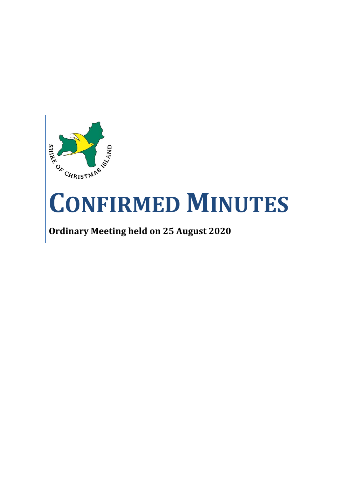

# **CONFIRMED MINUTES**

**Ordinary Meeting held on 25 August 2020**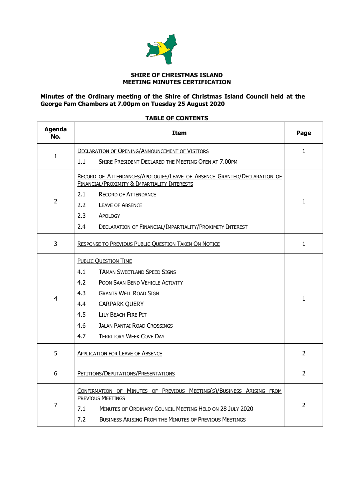

#### **SHIRE OF CHRISTMAS ISLAND MEETING MINUTES CERTIFICATION**

#### **Minutes of the Ordinary meeting of the Shire of Christmas Island Council held at the George Fam Chambers at 7.00pm on Tuesday 25 August 2020**

# **TABLE OF CONTENTS**

| <b>Agenda</b><br>No. | <b>Item</b>                                                                                                             | Page           |
|----------------------|-------------------------------------------------------------------------------------------------------------------------|----------------|
|                      | <b>DECLARATION OF OPENING/ANNOUNCEMENT OF VISITORS</b>                                                                  | $\mathbf{1}$   |
| $\mathbf{1}$         | 1.1<br>SHIRE PRESIDENT DECLARED THE MEETING OPEN AT 7.00PM                                                              |                |
|                      | RECORD OF ATTENDANCES/APOLOGIES/LEAVE OF ABSENCE GRANTED/DECLARATION OF<br>FINANCIAL/PROXIMITY & IMPARTIALITY INTERESTS |                |
| $\overline{2}$       | 2.1<br><b>RECORD OF ATTENDANCE</b>                                                                                      | $\mathbf{1}$   |
|                      | 2.2<br><b>LEAVE OF ABSENCE</b>                                                                                          |                |
|                      | 2.3<br>APOLOGY                                                                                                          |                |
|                      | $2.4^{\circ}$<br>DECLARATION OF FINANCIAL/IMPARTIALITY/PROXIMITY INTEREST                                               |                |
| 3                    | RESPONSE TO PREVIOUS PUBLIC QUESTION TAKEN ON NOTICE                                                                    | 1              |
|                      | <b>PUBLIC QUESTION TIME</b>                                                                                             |                |
|                      | 4.1<br><b>TAMAN SWEETLAND SPEED SIGNS</b>                                                                               |                |
|                      | 4.2<br>POON SAAN BEND VEHICLE ACTIVITY                                                                                  |                |
|                      | 4.3<br><b>GRANTS WELL ROAD SIGN</b>                                                                                     |                |
| 4                    | 4.4<br><b>CARPARK QUERY</b>                                                                                             | 1              |
|                      | 4.5<br>LILY BEACH FIRE PIT                                                                                              |                |
|                      | 4.6<br><b>JALAN PANTAI ROAD CROSSINGS</b>                                                                               |                |
|                      | 4.7<br><b>TERRITORY WEEK COVE DAY</b>                                                                                   |                |
| 5                    | <b>APPLICATION FOR LEAVE OF ABSENCE</b>                                                                                 | $\overline{2}$ |
| 6                    | PETITIONS/DEPUTATIONS/PRESENTATIONS                                                                                     | $\overline{2}$ |
|                      | CONFIRMATION OF MINUTES OF PREVIOUS MEETING(S)/BUSINESS ARISING FROM<br><b>PREVIOUS MEETINGS</b>                        |                |
| 7                    | 7.1<br>MINUTES OF ORDINARY COUNCIL MEETING HELD ON 28 JULY 2020                                                         | $\mathcal{P}$  |
|                      | 7.2<br><b>BUSINESS ARISING FROM THE MINUTES OF PREVIOUS MEETINGS</b>                                                    |                |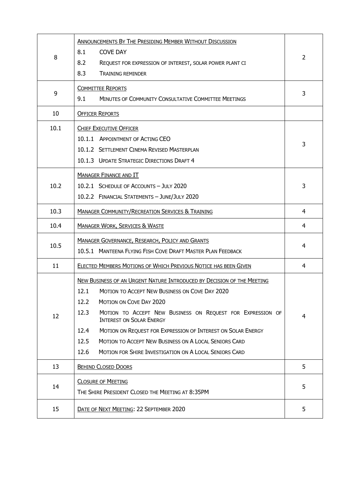| 8    | <b>ANNOUNCEMENTS BY THE PRESIDING MEMBER WITHOUT DISCUSSION</b><br>8.1<br><b>COVE DAY</b><br>8.2<br>REQUEST FOR EXPRESSION OF INTEREST, SOLAR POWER PLANT CI<br>8.3<br><b>TRAINING REMINDER</b>                                                                                                                                                                                                                                                                                                              | $\overline{2}$ |
|------|--------------------------------------------------------------------------------------------------------------------------------------------------------------------------------------------------------------------------------------------------------------------------------------------------------------------------------------------------------------------------------------------------------------------------------------------------------------------------------------------------------------|----------------|
| 9    | <b>COMMITTEE REPORTS</b><br>9.1<br><b>MINUTES OF COMMUNITY CONSULTATIVE COMMITTEE MEETINGS</b>                                                                                                                                                                                                                                                                                                                                                                                                               | 3              |
| 10   | <b>OFFICER REPORTS</b>                                                                                                                                                                                                                                                                                                                                                                                                                                                                                       |                |
| 10.1 | <b>CHIEF EXECUTIVE OFFICER</b><br>10.1.1 APPOINTMENT OF ACTING CEO<br>10.1.2 SETTLEMENT CINEMA REVISED MASTERPLAN<br>10.1.3 UPDATE STRATEGIC DIRECTIONS DRAFT 4                                                                                                                                                                                                                                                                                                                                              | 3              |
| 10.2 | <b>MANAGER FINANCE AND IT</b><br>10.2.1 SCHEDULE OF ACCOUNTS - JULY 2020<br>10.2.2 FINANCIAL STATEMENTS - JUNE/JULY 2020                                                                                                                                                                                                                                                                                                                                                                                     | 3              |
| 10.3 | <b>MANAGER COMMUNITY/RECREATION SERVICES &amp; TRAINING</b>                                                                                                                                                                                                                                                                                                                                                                                                                                                  | 4              |
| 10.4 | <b>MANAGER WORK, SERVICES &amp; WASTE</b>                                                                                                                                                                                                                                                                                                                                                                                                                                                                    | 4              |
| 10.5 | <b>MANAGER GOVERNANCE, RESEARCH, POLICY AND GRANTS</b><br>10.5.1 MANTEENA FLYING FISH COVE DRAFT MASTER PLAN FEEDBACK                                                                                                                                                                                                                                                                                                                                                                                        | 4              |
| 11   | ELECTED MEMBERS MOTIONS OF WHICH PREVIOUS NOTICE HAS BEEN GIVEN                                                                                                                                                                                                                                                                                                                                                                                                                                              | 4              |
| 12   | <b>NEW BUSINESS OF AN URGENT NATURE INTRODUCED BY DECISION OF THE MEETING</b><br>12.1<br><b>MOTION TO ACCEPT NEW BUSINESS ON COVE DAY 2020</b><br>12.2<br><b>MOTION ON COVE DAY 2020</b><br>12.3<br>MOTION TO ACCEPT NEW BUSINESS ON REQUEST FOR EXPRESSION OF<br><b>INTEREST ON SOLAR ENERGY</b><br>12.4<br>MOTION ON REQUEST FOR EXPRESSION OF INTEREST ON SOLAR ENERGY<br>MOTION TO ACCEPT NEW BUSINESS ON A LOCAL SENIORS CARD<br>12.5<br>12.6<br>MOTION FOR SHIRE INVESTIGATION ON A LOCAL SENIORS CARD | 4              |
| 13   | <b>BEHIND CLOSED DOORS</b>                                                                                                                                                                                                                                                                                                                                                                                                                                                                                   | 5              |
| 14   | <b>CLOSURE OF MEETING</b><br>THE SHIRE PRESIDENT CLOSED THE MEETING AT 8:35PM                                                                                                                                                                                                                                                                                                                                                                                                                                | 5              |
| 15   | DATE OF NEXT MEETING: 22 SEPTEMBER 2020                                                                                                                                                                                                                                                                                                                                                                                                                                                                      | 5              |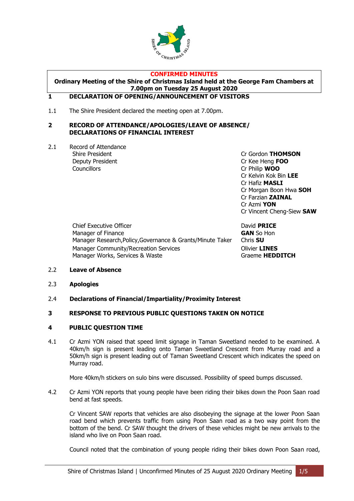

#### **CONFIRMED MINUTES**

### **Ordinary Meeting of the Shire of Christmas Island held at the George Fam Chambers at 7.00pm on Tuesday 25 August 2020**

#### <span id="page-3-0"></span>**1 DECLARATION OF OPENING/ANNOUNCEMENT OF VISITORS**

1.1 The Shire President declared the meeting open at 7.00pm.

#### <span id="page-3-1"></span>**2 RECORD OF ATTENDANCE/APOLOGIES/LEAVE OF ABSENCE/ DECLARATIONS OF FINANCIAL INTEREST**

2.1 Record of Attendance Deputy President Cr Kee Heng **FOO** Councillors Cr Philip **WOO**

Shire President **Calculation** Cr Gordon **THOMSON** Cr Kelvin Kok Bin **LEE** Cr Hafiz **MASLI** Cr Morgan Boon Hwa **SOH** Cr Farzian **ZAINAL** Cr Azmi **YON** Cr Vincent Cheng-Siew **SAW**

Chief Executive Officer David **PRICE** Manager of Finance **GAN** So Hon Manager Research,Policy,Governance & Grants/Minute Taker Chris **SU** Manager Community/Recreation Services **Community/Recreation Services** Manager Works, Services & Waste Graeme **HEDDITCH** 

- 2.2 **Leave of Absence**
- 2.3 **Apologies**
- 2.4 **Declarations of Financial/Impartiality/Proximity Interest**

#### <span id="page-3-2"></span>**3 RESPONSE TO PREVIOUS PUBLIC QUESTIONS TAKEN ON NOTICE**

#### <span id="page-3-3"></span>**4 PUBLIC QUESTION TIME**

4.1 Cr Azmi YON raised that speed limit signage in Taman Sweetland needed to be examined. A 40km/h sign is present leading onto Taman Sweetland Crescent from Murray road and a 50km/h sign is present leading out of Taman Sweetland Crescent which indicates the speed on Murray road.

More 40km/h stickers on sulo bins were discussed. Possibility of speed bumps discussed.

4.2 Cr Azmi YON reports that young people have been riding their bikes down the Poon Saan road bend at fast speeds.

Cr Vincent SAW reports that vehicles are also disobeying the signage at the lower Poon Saan road bend which prevents traffic from using Poon Saan road as a two way point from the bottom of the bend. Cr SAW thought the drivers of these vehicles might be new arrivals to the island who live on Poon Saan road.

Council noted that the combination of young people riding their bikes down Poon Saan road,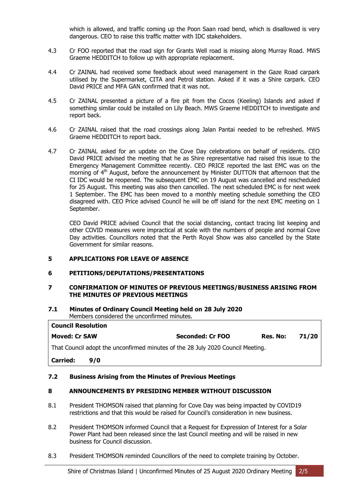which is allowed, and traffic coming up the Poon Saan road bend, which is disallowed is very dangerous. CEO to raise this traffic matter with IDC stakeholders.

- 4.3 Cr FOO reported that the road sign for Grants Well road is missing along Murray Road. MWS Graeme HEDDITCH to follow up with appropriate replacement.
- 4.4 Cr ZAINAL had received some feedback about weed management in the Gaze Road carpark utilised by the Supermarket, CITA and Petrol station. Asked if it was a Shire carpark. CEO David PRICE and MFA GAN confirmed that it was not.
- 4.5 Cr ZAINAL presented a picture of a fire pit from the Cocos (Keeling) Islands and asked if something similar could be installed on Lily Beach. MWS Graeme HEDDITCH to investigate and report back.
- 4.6 Cr ZAINAL raised that the road crossings along Jalan Pantai needed to be refreshed. MWS Graeme HEDDITCH to report back.
- 4.7 Cr ZAINAL asked for an update on the Cove Day celebrations on behalf of residents. CEO David PRICE advised the meeting that he as Shire representative had raised this issue to the Emergency Management Committee recently. CEO PRICE reported the last EMC was on the morning of  $4<sup>th</sup>$  August, before the announcement by Minister DUTTON that afternoon that the CI IDC would be reopened. The subsequent EMC on 19 August was cancelled and rescheduled for 25 August. This meeting was also then cancelled. The next scheduled EMC is for next week 1 September. The EMC has been moved to a monthly meeting schedule something the CEO disagreed with. CEO Price advised Council he will be off island for the next EMC meeting on 1 September.

CEO David PRICE advised Council that the social distancing, contact tracing list keeping and other COVID measures were impractical at scale with the numbers of people and normal Cove Day activities. Councillors noted that the Perth Royal Show was also cancelled by the State Government for similar reasons.

#### <span id="page-4-0"></span>**5 APPLICATIONS FOR LEAVE OF ABSENCE**

#### <span id="page-4-1"></span>**6 PETITIONS/DEPUTATIONS/PRESENTATIONS**

#### <span id="page-4-2"></span>**7 CONFIRMATION OF MINUTES OF PREVIOUS MEETINGS/BUSINESS ARISING FROM THE MINUTES OF PREVIOUS MEETINGS**

#### **7.1 Minutes of Ordinary Council Meeting held on 28 July 2020** Members considered the unconfirmed minutes.

| <b>Council Resolution</b>                                                       |     |                  |          |       |  |
|---------------------------------------------------------------------------------|-----|------------------|----------|-------|--|
| <b>Moved: Cr SAW</b>                                                            |     | Seconded: Cr FOO | Res. No: | 71/20 |  |
| That Council adopt the unconfirmed minutes of the 28 July 2020 Council Meeting. |     |                  |          |       |  |
| Carried:                                                                        | 9/0 |                  |          |       |  |

#### **7.2 Business Arising from the Minutes of Previous Meetings**

#### <span id="page-4-3"></span>**8 ANNOUNCEMENTS BY PRESIDING MEMBER WITHOUT DISCUSSION**

- 8.1 President THOMSON raised that planning for Cove Day was being impacted by COVID19 restrictions and that this would be raised for Council's consideration in new business.
- 8.2 President THOMSON informed Council that a Request for Expression of Interest for a Solar Power Plant had been released since the last Council meeting and will be raised in new business for Council discussion.
- 8.3 President THOMSON reminded Councillors of the need to complete training by October.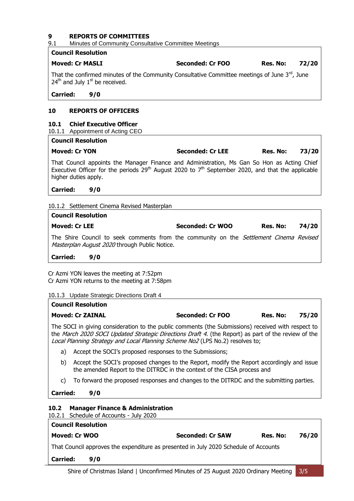# <span id="page-5-0"></span>**9 REPORTS OF COMMITTEES**<br> **9.1** Minutes of Community Consult

# Minutes of Community Consultative Committee Meetings

| Council Resolution                                                                                                                                                    |                  |          |       |
|-----------------------------------------------------------------------------------------------------------------------------------------------------------------------|------------------|----------|-------|
| <b>Moved: Cr MASLI</b>                                                                                                                                                | Seconded: Cr FOO | Res. No: | 72/20 |
| That the confirmed minutes of the Community Consultative Committee meetings of June $3^{rd}$ , June<br>$\vert$ 24 <sup>th</sup> and July 1 <sup>st</sup> be received. |                  |          |       |

**Carried: 9/0**

#### **10 REPORTS OF OFFICERS**

#### <span id="page-5-1"></span>**10.1 Chief Executive Officer**

10.1.1 Appointment of Acting CEO

| <b>Council Resolution</b>                                                                                                                                                                                                              |                         |          |       |
|----------------------------------------------------------------------------------------------------------------------------------------------------------------------------------------------------------------------------------------|-------------------------|----------|-------|
| <b>Moved: Cr YON</b>                                                                                                                                                                                                                   | <b>Seconded: Cr LEE</b> | Res. No: | 73/20 |
| That Council appoints the Manager Finance and Administration, Ms Gan So Hon as Acting Chief<br>Executive Officer for the periods 29 <sup>th</sup> August 2020 to $7th$ September 2020, and that the applicable<br>higher duties apply. |                         |          |       |
| <b>Carried:</b><br>9/0                                                                                                                                                                                                                 |                         |          |       |
| 10.1.2 Settlement Cinema Revised Masterplan                                                                                                                                                                                            |                         |          |       |
| <b>Council Resolution</b>                                                                                                                                                                                                              |                         |          |       |

| <b>Moved: Cr LEE</b>                                                                          | Seconded: Cr WOO | Res. No: | 74/20 |
|-----------------------------------------------------------------------------------------------|------------------|----------|-------|
| The Shire Council to seek comments from the community on the <i>Settlement Cinema Revised</i> |                  |          |       |
| <i>Masterplan August 2020</i> through Public Notice.                                          |                  |          |       |

#### **Carried: 9/0**

Cr Azmi YON leaves the meeting at 7:52pm Cr Azmi YON returns to the meeting at 7:58pm

#### 10.1.3 Update Strategic Directions Draft 4

<span id="page-5-2"></span>

|                                                                                                                                                                                                                                                                                                   | <b>Council Resolution</b>                                                               |                         |          |       |  |
|---------------------------------------------------------------------------------------------------------------------------------------------------------------------------------------------------------------------------------------------------------------------------------------------------|-----------------------------------------------------------------------------------------|-------------------------|----------|-------|--|
| <b>Moved: Cr ZAINAL</b><br>Seconded: Cr FOO<br>Res. No:<br>75/20                                                                                                                                                                                                                                  |                                                                                         |                         |          |       |  |
| The SOCI in giving consideration to the public comments (the Submissions) received with respect to<br>the <i>March 2020 SOCI Updated Strategic Directions Draft 4.</i> (the Report) as part of the review of the<br>Local Planning Strategy and Local Planning Scheme No2 (LPS No.2) resolves to; |                                                                                         |                         |          |       |  |
| a)                                                                                                                                                                                                                                                                                                | Accept the SOCI's proposed responses to the Submissions;                                |                         |          |       |  |
| b)<br>Accept the SOCI's proposed changes to the Report, modify the Report accordingly and issue<br>the amended Report to the DITRDC in the context of the CISA process and                                                                                                                        |                                                                                         |                         |          |       |  |
| C)                                                                                                                                                                                                                                                                                                | To forward the proposed responses and changes to the DITRDC and the submitting parties. |                         |          |       |  |
| <b>Carried:</b>                                                                                                                                                                                                                                                                                   | 9/0                                                                                     |                         |          |       |  |
| 10.2<br>10.2.1                                                                                                                                                                                                                                                                                    | <b>Manager Finance &amp; Administration</b><br>Schedule of Accounts - July 2020         |                         |          |       |  |
|                                                                                                                                                                                                                                                                                                   | <b>Council Resolution</b>                                                               |                         |          |       |  |
|                                                                                                                                                                                                                                                                                                   | Moved: Cr WOO                                                                           | <b>Seconded: Cr SAW</b> | Res. No: | 76/20 |  |
|                                                                                                                                                                                                                                                                                                   | That Council approves the expenditure as presented in July 2020 Schedule of Accounts    |                         |          |       |  |
| <b>Carried:</b>                                                                                                                                                                                                                                                                                   | 9/0                                                                                     |                         |          |       |  |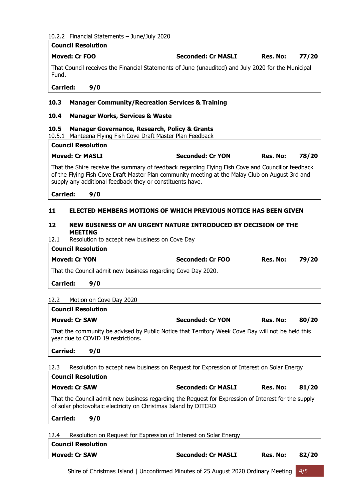|  |  | 10.2.2 Financial Statements - June/July 2020 |  |  |
|--|--|----------------------------------------------|--|--|
|--|--|----------------------------------------------|--|--|

<span id="page-6-4"></span><span id="page-6-3"></span><span id="page-6-2"></span><span id="page-6-1"></span><span id="page-6-0"></span>

| 10.2.2 Financial Statements - June/July 2020                                                                                                                                                                                                                      |                                                                                         |                 |       |
|-------------------------------------------------------------------------------------------------------------------------------------------------------------------------------------------------------------------------------------------------------------------|-----------------------------------------------------------------------------------------|-----------------|-------|
| <b>Council Resolution</b>                                                                                                                                                                                                                                         |                                                                                         |                 |       |
| <b>Moved: Cr FOO</b>                                                                                                                                                                                                                                              | <b>Seconded: Cr MASLI</b>                                                               | Res. No:        | 77/20 |
| That Council receives the Financial Statements of June (unaudited) and July 2020 for the Municipal<br>Fund.                                                                                                                                                       |                                                                                         |                 |       |
| <b>Carried:</b><br>9/0                                                                                                                                                                                                                                            |                                                                                         |                 |       |
| 10.3<br><b>Manager Community/Recreation Services &amp; Training</b>                                                                                                                                                                                               |                                                                                         |                 |       |
| 10.4<br><b>Manager Works, Services &amp; Waste</b>                                                                                                                                                                                                                |                                                                                         |                 |       |
| 10.5<br><b>Manager Governance, Research, Policy &amp; Grants</b><br>10.5.1 Manteena Flying Fish Cove Draft Master Plan Feedback                                                                                                                                   |                                                                                         |                 |       |
| <b>Council Resolution</b>                                                                                                                                                                                                                                         |                                                                                         |                 |       |
| <b>Moved: Cr MASLI</b>                                                                                                                                                                                                                                            | <b>Seconded: Cr YON</b>                                                                 | Res. No:        | 78/20 |
| That the Shire receive the summary of feedback regarding Flying Fish Cove and Councillor feedback<br>of the Flying Fish Cove Draft Master Plan community meeting at the Malay Club on August 3rd and<br>supply any additional feedback they or constituents have. |                                                                                         |                 |       |
| <b>Carried:</b><br>9/0                                                                                                                                                                                                                                            |                                                                                         |                 |       |
| 11                                                                                                                                                                                                                                                                | ELECTED MEMBERS MOTIONS OF WHICH PREVIOUS NOTICE HAS BEEN GIVEN                         |                 |       |
| 12<br><b>MEETING</b><br>12.1<br>Resolution to accept new business on Cove Day<br><b>Council Resolution</b>                                                                                                                                                        | NEW BUSINESS OF AN URGENT NATURE INTRODUCED BY DECISION OF THE                          |                 |       |
| <b>Moved: Cr YON</b>                                                                                                                                                                                                                                              | Seconded: Cr FOO                                                                        | Res. No:        | 79/20 |
| That the Council admit new business regarding Cove Day 2020.                                                                                                                                                                                                      |                                                                                         |                 |       |
|                                                                                                                                                                                                                                                                   |                                                                                         |                 |       |
| <b>Carried:</b><br>9/0                                                                                                                                                                                                                                            |                                                                                         |                 |       |
| 12.2<br>Motion on Cove Day 2020                                                                                                                                                                                                                                   |                                                                                         |                 |       |
| <b>Council Resolution</b>                                                                                                                                                                                                                                         |                                                                                         |                 |       |
| <b>Moved: Cr SAW</b>                                                                                                                                                                                                                                              | <b>Seconded: Cr YON</b>                                                                 | Res. No:        | 80/20 |
| That the community be advised by Public Notice that Territory Week Cove Day will not be held this<br>year due to COVID 19 restrictions.                                                                                                                           |                                                                                         |                 |       |
| <b>Carried:</b><br>9/0                                                                                                                                                                                                                                            |                                                                                         |                 |       |
| 12.3                                                                                                                                                                                                                                                              | Resolution to accept new business on Request for Expression of Interest on Solar Energy |                 |       |
| <b>Council Resolution</b>                                                                                                                                                                                                                                         |                                                                                         |                 |       |
| <b>Moved: Cr SAW</b>                                                                                                                                                                                                                                              | <b>Seconded: Cr MASLI</b>                                                               | <b>Res. No:</b> | 81/20 |
| That the Council admit new business regarding the Request for Expression of Interest for the supply<br>of solar photovoltaic electricity on Christmas Island by DITCRD                                                                                            |                                                                                         |                 |       |
| <b>Carried:</b><br>9/0                                                                                                                                                                                                                                            |                                                                                         |                 |       |
|                                                                                                                                                                                                                                                                   |                                                                                         |                 |       |

12.4 Resolution on Request for Expression of Interest on Solar Energy **Council Resolution Moved: Cr SAW Seconded: Cr MASLI Res. No: 82/20**